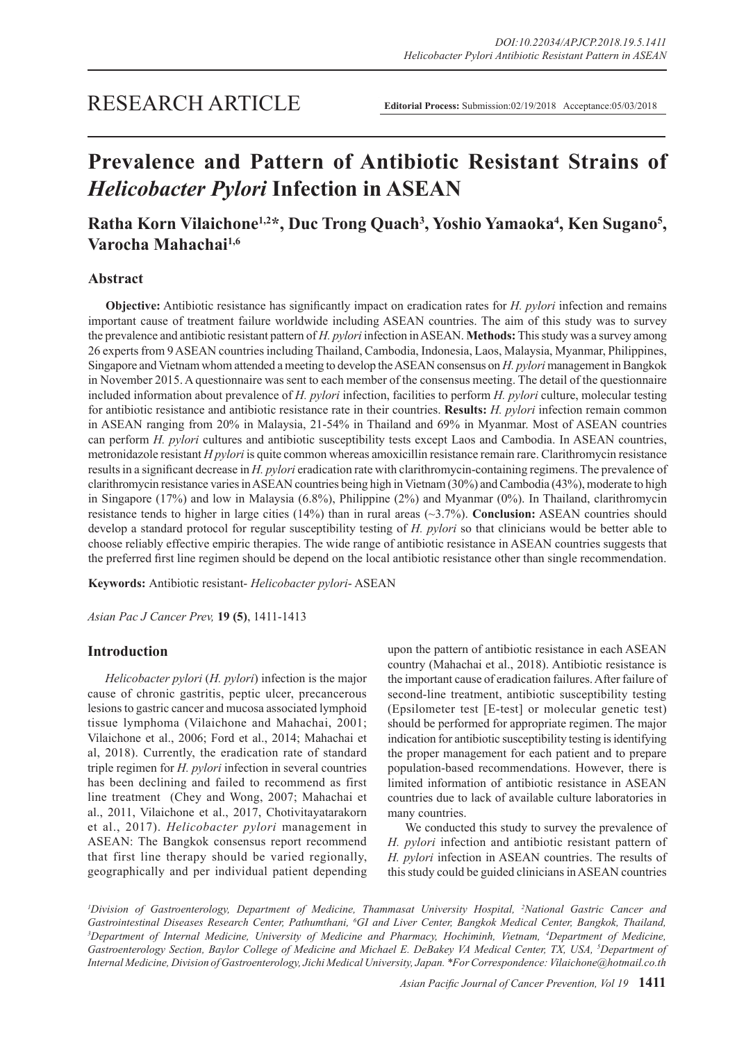## **Prevalence and Pattern of Antibiotic Resistant Strains of**  *Helicobacter Pylori* **Infection in ASEAN**

### **Ratha Korn Vilaichone1,2\*, Duc Trong Quach3 , Yoshio Yamaoka4 , Ken Sugano5 , Varocha Mahachai1,6**

### **Abstract**

**Objective:** Antibiotic resistance has significantly impact on eradication rates for *H. pylori* infection and remains important cause of treatment failure worldwide including ASEAN countries. The aim of this study was to survey the prevalence and antibiotic resistant pattern of *H. pylori* infection in ASEAN. **Methods:** This study was a survey among 26 experts from 9 ASEAN countries including Thailand, Cambodia, Indonesia, Laos, Malaysia, Myanmar, Philippines, Singapore and Vietnam whom attended a meeting to develop the ASEAN consensus on *H. pylori* management in Bangkok in November 2015. A questionnaire was sent to each member of the consensus meeting. The detail of the questionnaire included information about prevalence of *H. pylori* infection, facilities to perform *H. pylori* culture, molecular testing for antibiotic resistance and antibiotic resistance rate in their countries. **Results:** *H. pylori* infection remain common in ASEAN ranging from 20% in Malaysia, 21-54% in Thailand and 69% in Myanmar. Most of ASEAN countries can perform *H. pylori* cultures and antibiotic susceptibility tests except Laos and Cambodia. In ASEAN countries, metronidazole resistant *H pylori* is quite common whereas amoxicillin resistance remain rare. Clarithromycin resistance results in a significant decrease in *H. pylori* eradication rate with clarithromycin-containing regimens. The prevalence of clarithromycin resistance varies in ASEAN countries being high in Vietnam (30%) and Cambodia (43%), moderate to high in Singapore (17%) and low in Malaysia (6.8%), Philippine (2%) and Myanmar (0%). In Thailand, clarithromycin resistance tends to higher in large cities (14%) than in rural areas (~3.7%). **Conclusion:** ASEAN countries should develop a standard protocol for regular susceptibility testing of *H. pylori* so that clinicians would be better able to choose reliably effective empiric therapies. The wide range of antibiotic resistance in ASEAN countries suggests that the preferred first line regimen should be depend on the local antibiotic resistance other than single recommendation.

**Keywords:** Antibiotic resistant- *Helicobacter pylori*- ASEAN

*Asian Pac J Cancer Prev,* **19 (5)**, 1411-1413

#### **Introduction**

*Helicobacter pylori* (*H. pylori*) infection is the major cause of chronic gastritis, peptic ulcer, precancerous lesions to gastric cancer and mucosa associated lymphoid tissue lymphoma (Vilaichone and Mahachai, 2001; Vilaichone et al., 2006; Ford et al., 2014; Mahachai et al, 2018). Currently, the eradication rate of standard triple regimen for *H. pylori* infection in several countries has been declining and failed to recommend as first line treatment (Chey and Wong, 2007; Mahachai et al., 2011, Vilaichone et al., 2017, Chotivitayatarakorn et al., 2017). *Helicobacter pylori* management in ASEAN: The Bangkok consensus report recommend that first line therapy should be varied regionally, geographically and per individual patient depending upon the pattern of antibiotic resistance in each ASEAN country (Mahachai et al., 2018). Antibiotic resistance is the important cause of eradication failures. After failure of second-line treatment, antibiotic susceptibility testing (Epsilometer test [E-test] or molecular genetic test) should be performed for appropriate regimen. The major indication for antibiotic susceptibility testing is identifying the proper management for each patient and to prepare population-based recommendations. However, there is limited information of antibiotic resistance in ASEAN countries due to lack of available culture laboratories in many countries.

We conducted this study to survey the prevalence of *H. pylori* infection and antibiotic resistant pattern of *H. pylori* infection in ASEAN countries. The results of this study could be guided clinicians in ASEAN countries

*1 Division of Gastroenterology, Department of Medicine, Thammasat University Hospital, 2 National Gastric Cancer and*  Gastrointestinal Diseases Research Center, Pathumthani, <sup>6</sup>GI and Liver Center, Bangkok Medical Center, Bangkok, Thailand,<br><sup>3</sup>Department of Internal Medicine, University of Medicine and Pharmacy, Hochiminh, Vietnam, Depart *Department of Internal Medicine, University of Medicine and Pharmacy, Hochiminh, Vietnam, 4 Department of Medicine, Gastroenterology Section, Baylor College of Medicine and Michael E. DeBakey VA Medical Center, TX, USA, 5 Department of Internal Medicine, Division of Gastroenterology, Jichi Medical University, Japan. \*For Correspondence: Vilaichone@hotmail.co.th*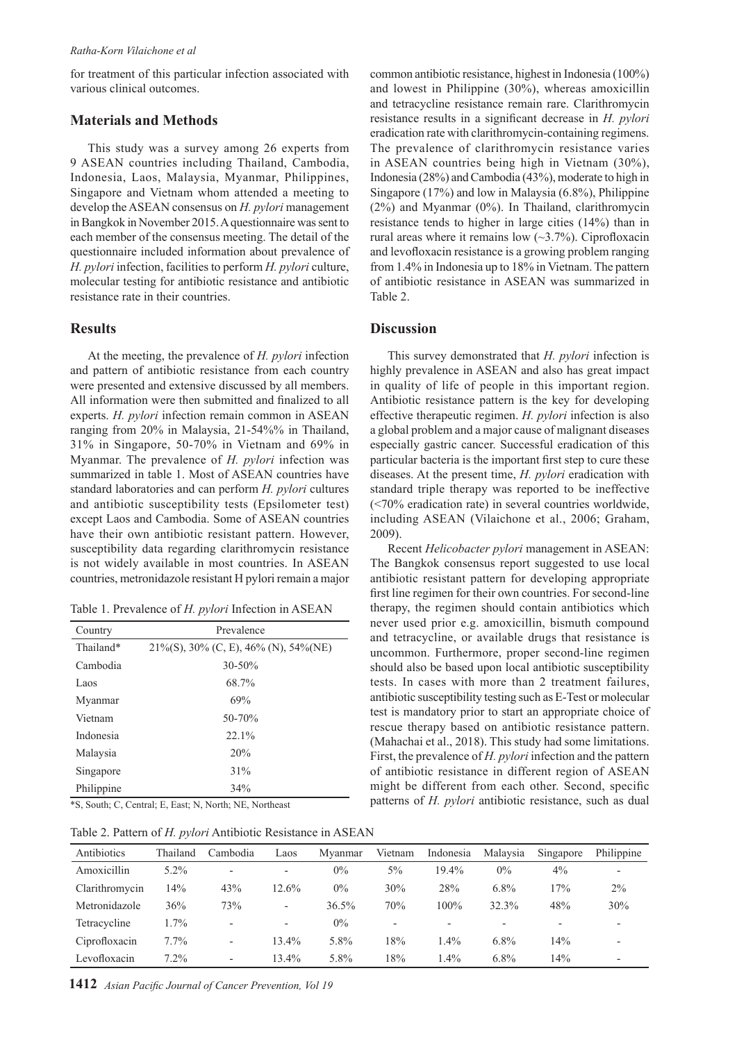for treatment of this particular infection associated with various clinical outcomes.

#### **Materials and Methods**

This study was a survey among 26 experts from 9 ASEAN countries including Thailand, Cambodia, Indonesia, Laos, Malaysia, Myanmar, Philippines, Singapore and Vietnam whom attended a meeting to develop the ASEAN consensus on *H. pylori* management in Bangkok in November 2015. A questionnaire was sent to each member of the consensus meeting. The detail of the questionnaire included information about prevalence of *H. pylori* infection, facilities to perform *H. pylori* culture, molecular testing for antibiotic resistance and antibiotic resistance rate in their countries.

#### **Results**

At the meeting, the prevalence of *H. pylori* infection and pattern of antibiotic resistance from each country were presented and extensive discussed by all members. All information were then submitted and finalized to all experts. *H. pylori* infection remain common in ASEAN ranging from 20% in Malaysia, 21-54%% in Thailand, 31% in Singapore, 50-70% in Vietnam and 69% in Myanmar. The prevalence of *H. pylori* infection was summarized in table 1. Most of ASEAN countries have standard laboratories and can perform *H. pylori* cultures and antibiotic susceptibility tests (Epsilometer test) except Laos and Cambodia. Some of ASEAN countries have their own antibiotic resistant pattern. However, susceptibility data regarding clarithromycin resistance is not widely available in most countries. In ASEAN countries, metronidazole resistant H pylori remain a major

| Table 1. Prevalence of H. pylori Infection in ASEAN |  |  |
|-----------------------------------------------------|--|--|
|                                                     |  |  |

| Country    | Prevalence                                |  |  |  |
|------------|-------------------------------------------|--|--|--|
| Thailand*  | $21\%$ (S), 30% (C, E), 46% (N), 54% (NE) |  |  |  |
| Cambodia   | 30-50%                                    |  |  |  |
| Laos       | 68.7%                                     |  |  |  |
| Myanmar    | 69%                                       |  |  |  |
| Vietnam    | $50 - 70%$                                |  |  |  |
| Indonesia  | 22.1%                                     |  |  |  |
| Malaysia   | 20%                                       |  |  |  |
| Singapore  | 31%                                       |  |  |  |
| Philippine | 34%                                       |  |  |  |

\*S, South; C, Central; E, East; N, North; NE, Northeast

Table 2. Pattern of *H. pylori* Antibiotic Resistance in ASEAN

common antibiotic resistance, highest in Indonesia (100%) and lowest in Philippine (30%), whereas amoxicillin and tetracycline resistance remain rare. Clarithromycin resistance results in a significant decrease in *H. pylori* eradication rate with clarithromycin-containing regimens. The prevalence of clarithromycin resistance varies in ASEAN countries being high in Vietnam (30%), Indonesia (28%) and Cambodia (43%), moderate to high in Singapore (17%) and low in Malaysia (6.8%), Philippine (2%) and Myanmar (0%). In Thailand, clarithromycin resistance tends to higher in large cities (14%) than in rural areas where it remains low (~3.7%). Ciprofloxacin and levofloxacin resistance is a growing problem ranging from 1.4% in Indonesia up to 18% in Vietnam. The pattern of antibiotic resistance in ASEAN was summarized in Table 2.

#### **Discussion**

This survey demonstrated that *H. pylori* infection is highly prevalence in ASEAN and also has great impact in quality of life of people in this important region. Antibiotic resistance pattern is the key for developing effective therapeutic regimen. *H. pylori* infection is also a global problem and a major cause of malignant diseases especially gastric cancer. Successful eradication of this particular bacteria is the important first step to cure these diseases. At the present time, *H. pylori* eradication with standard triple therapy was reported to be ineffective (<70% eradication rate) in several countries worldwide, including ASEAN (Vilaichone et al., 2006; Graham, 2009).

Recent *Helicobacter pylori* management in ASEAN: The Bangkok consensus report suggested to use local antibiotic resistant pattern for developing appropriate first line regimen for their own countries. For second-line therapy, the regimen should contain antibiotics which never used prior e.g. amoxicillin, bismuth compound and tetracycline, or available drugs that resistance is uncommon. Furthermore, proper second-line regimen should also be based upon local antibiotic susceptibility tests. In cases with more than 2 treatment failures, antibiotic susceptibility testing such as E-Test or molecular test is mandatory prior to start an appropriate choice of rescue therapy based on antibiotic resistance pattern. (Mahachai et al., 2018). This study had some limitations. First, the prevalence of *H. pylori* infection and the pattern of antibiotic resistance in different region of ASEAN might be different from each other. Second, specific patterns of *H. pylori* antibiotic resistance, such as dual

| Antibiotics    | Thailand | Cambodia                 | Laos                     | Myanmar  | Vietnam | Indonesia | Malaysia | Singapore | Philippine |
|----------------|----------|--------------------------|--------------------------|----------|---------|-----------|----------|-----------|------------|
| Amoxicillin    | $5.2\%$  | $\overline{\phantom{a}}$ | $\overline{\phantom{a}}$ | $0\%$    | $5\%$   | $19.4\%$  | $0\%$    | $4\%$     |            |
| Clarithromycin | $14\%$   | 43%                      | 12.6%                    | $0\%$    | 30%     | 28%       | $6.8\%$  | 17%       | $2\%$      |
| Metronidazole  | 36%      | 73%                      | $\overline{\phantom{0}}$ | $36.5\%$ | 70%     | $100\%$   | 32.3%    | 48%       | 30%        |
| Tetracycline   | $.7\%$   | $\overline{\phantom{a}}$ | $\overline{\phantom{a}}$ | $0\%$    | -       | $\sim$    | -        | -         |            |
| Ciprofloxacin  | $7.7\%$  | $\overline{\phantom{a}}$ | 13.4%                    | 5.8%     | 18%     | $1.4\%$   | $6.8\%$  | 14%       |            |
| Levofloxacin   | 7.2%     | $\overline{\phantom{a}}$ | 13.4%                    | 5.8%     | 18%     | 1.4%      | $6.8\%$  | 14%       | -          |